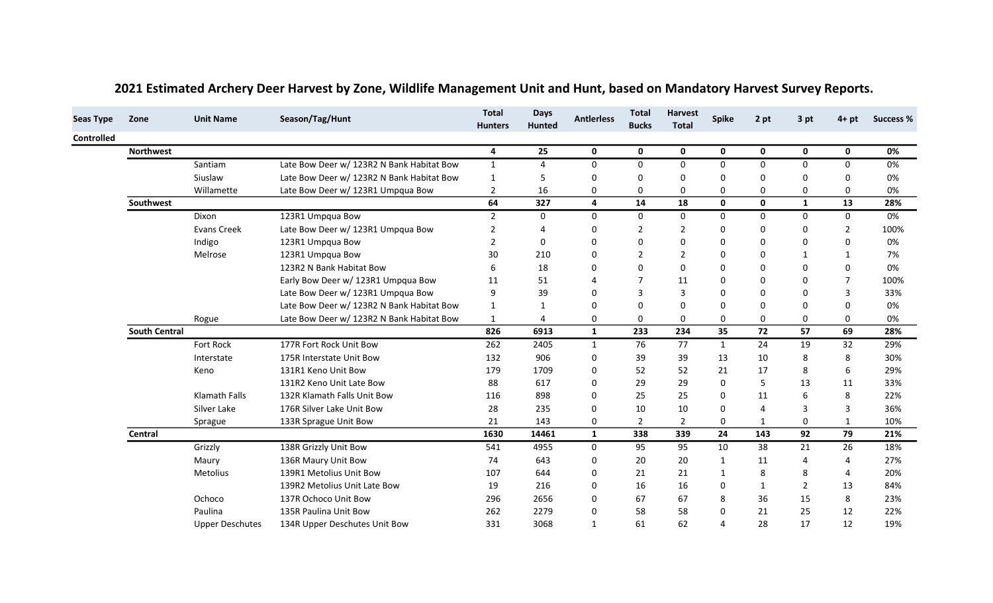| Seas Type         | Zone                 | <b>Unit Name</b>       | Season/Tag/Hunt                           | <b>Total</b><br><b>Hunters</b> | <b>Days</b><br><b>Hunted</b> | <b>Antierless</b> | <b>Total</b><br><b>Bucks</b> | <b>Harvest</b><br><b>Total</b> | <b>Spike</b> | 2 pt         | 3 pt         | $4+pt$         | <b>Success %</b> |
|-------------------|----------------------|------------------------|-------------------------------------------|--------------------------------|------------------------------|-------------------|------------------------------|--------------------------------|--------------|--------------|--------------|----------------|------------------|
| <b>Controlled</b> |                      |                        |                                           |                                |                              |                   |                              |                                |              |              |              |                |                  |
|                   | <b>Northwest</b>     |                        |                                           | 4                              | 25                           | $\mathbf{0}$      | $\mathbf 0$                  | $\mathbf{0}$                   | $\mathbf{0}$ | 0            | $\mathbf{0}$ | $\mathbf{0}$   | 0%               |
|                   |                      | Santiam                | Late Bow Deer w/ 123R2 N Bank Habitat Bow | $\mathbf{1}$                   | 4                            | 0                 | 0                            | 0                              | $\Omega$     | 0            | $\Omega$     | 0              | 0%               |
|                   |                      | Siuslaw                | Late Bow Deer w/ 123R2 N Bank Habitat Bow | 1                              | 5                            | 0                 | 0                            | 0                              | 0            | 0            | $\Omega$     | 0              | 0%               |
|                   |                      | Willamette             | Late Bow Deer w/ 123R1 Umpqua Bow         | $\overline{2}$                 | 16                           | 0                 | 0                            | 0                              | 0            | $\Omega$     | $\Omega$     | $\mathbf 0$    | 0%               |
|                   | Southwest            |                        |                                           | 64                             | 327                          | 4                 | 14                           | 18                             | $\mathbf 0$  | 0            | $\mathbf{1}$ | 13             | 28%              |
|                   |                      | Dixon                  | 123R1 Umpqua Bow                          | $\overline{2}$                 | 0                            | 0                 | 0                            | $\mathbf 0$                    | $\Omega$     | 0            | $\Omega$     | $\mathbf 0$    | 0%               |
|                   |                      | <b>Evans Creek</b>     | Late Bow Deer w/ 123R1 Umpqua Bow         | 2                              | 4                            | $\Omega$          | $\overline{2}$               | $\overline{2}$                 | 0            | 0            | $\Omega$     | $\overline{2}$ | 100%             |
|                   |                      | Indigo                 | 123R1 Umpqua Bow                          | 2                              | 0                            | 0                 | 0                            | 0                              | 0            | 0            | 0            | 0              | 0%               |
|                   |                      | Melrose                | 123R1 Umpqua Bow                          | 30                             | 210                          | 0                 | 2                            | $\overline{2}$                 | 0            | 0            | $\mathbf{1}$ | 1              | 7%               |
|                   |                      |                        | 123R2 N Bank Habitat Bow                  | 6                              | 18                           | 0                 | $\pmb{0}$                    | $\mathbf 0$                    | 0            | 0            | 0            | $\mathbf 0$    | 0%               |
|                   |                      |                        | Early Bow Deer w/ 123R1 Umpqua Bow        | 11                             | 51                           | 4                 | $\overline{7}$               | 11                             | 0            | O            | $\Omega$     | $\overline{7}$ | 100%             |
|                   |                      |                        | Late Bow Deer w/ 123R1 Umpqua Bow         | 9                              | 39                           | $\Omega$          | 3                            | 3                              | 0            | 0            | 0            | 3              | 33%              |
|                   |                      |                        | Late Bow Deer w/ 123R2 N Bank Habitat Bow | $\mathbf{1}$                   | $\mathbf 1$                  | 0                 | 0                            | 0                              | 0            | 0            | $\Omega$     | 0              | 0%               |
|                   |                      | Rogue                  | Late Bow Deer w/ 123R2 N Bank Habitat Bow | $\mathbf{1}$                   | 4                            | 0                 | $\mathbf 0$                  | 0                              | 0            | $\Omega$     | $\mathbf{0}$ | 0              | 0%               |
|                   | <b>South Central</b> |                        |                                           | 826                            | 6913                         | $\mathbf{1}$      | 233                          | 234                            | 35           | 72           | 57           | 69             | 28%              |
|                   |                      | Fort Rock              | 177R Fort Rock Unit Bow                   | 262                            | 2405                         | 1                 | 76                           | 77                             | 1            | 24           | 19           | 32             | 29%              |
|                   |                      | Interstate             | 175R Interstate Unit Bow                  | 132                            | 906                          | 0                 | 39                           | 39                             | 13           | 10           | 8            | 8              | 30%              |
|                   |                      | Keno                   | 131R1 Keno Unit Bow                       | 179                            | 1709                         | 0                 | 52                           | 52                             | 21           | 17           | 8            | 6              | 29%              |
|                   |                      |                        | 131R2 Keno Unit Late Bow                  | 88                             | 617                          | 0                 | 29                           | 29                             | 0            | 5            | 13           | 11             | 33%              |
|                   |                      | Klamath Falls          | 132R Klamath Falls Unit Bow               | 116                            | 898                          | 0                 | 25                           | 25                             | 0            | 11           | 6            | 8              | 22%              |
|                   |                      | Silver Lake            | 176R Silver Lake Unit Bow                 | 28                             | 235                          | 0                 | 10                           | 10                             | $\Omega$     | 4            | 3            | 3              | 36%              |
|                   |                      | Sprague                | 133R Sprague Unit Bow                     | 21                             | 143                          | 0                 | $\overline{2}$               | $\overline{2}$                 | 0            | $\mathbf{1}$ | 0            | $\mathbf{1}$   | 10%              |
|                   | Central              |                        |                                           | 1630                           | 14461                        | $\mathbf{1}$      | 338                          | 339                            | 24           | 143          | 92           | 79             | 21%              |
|                   |                      | Grizzly                | 138R Grizzly Unit Bow                     | 541                            | 4955                         | 0                 | 95                           | 95                             | 10           | 38           | 21           | 26             | 18%              |
|                   |                      | Maury                  | 136R Maury Unit Bow                       | 74                             | 643                          | 0                 | 20                           | 20                             | 1            | 11           | 4            | 4              | 27%              |
|                   |                      | Metolius               | 139R1 Metolius Unit Bow                   | 107                            | 644                          | $\Omega$          | 21                           | 21                             | 1            | 8            | 8            | 4              | 20%              |
|                   |                      |                        | 139R2 Metolius Unit Late Bow              | 19                             | 216                          | 0                 | 16                           | 16                             | 0            | $\mathbf{1}$ | 2            | 13             | 84%              |
|                   |                      | Ochoco                 | 137R Ochoco Unit Bow                      | 296                            | 2656                         | 0                 | 67                           | 67                             | 8            | 36           | 15           | 8              | 23%              |
|                   |                      | Paulina                | 135R Paulina Unit Bow                     | 262                            | 2279                         | 0                 | 58                           | 58                             | 0            | 21           | 25           | 12             | 22%              |
|                   |                      | <b>Upper Deschutes</b> | 134R Upper Deschutes Unit Bow             | 331                            | 3068                         | 1                 | 61                           | 62                             | 4            | 28           | 17           | 12             | 19%              |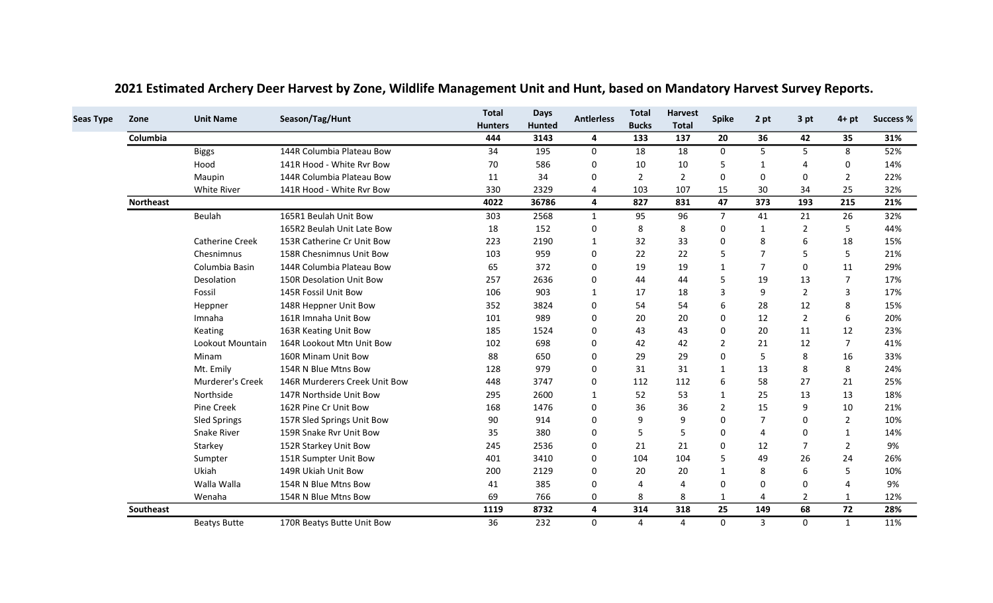| Seas Type<br>Zone | <b>Unit Name</b>        | Season/Tag/Hunt               | <b>Total</b><br><b>Hunters</b> | <b>Days</b><br><b>Hunted</b> | <b>Antierless</b>       | <b>Total</b><br><b>Bucks</b> | <b>Harvest</b><br><b>Total</b> | <b>Spike</b>   | 2 pt           | 3 pt           | $4+pt$                | <b>Success %</b> |
|-------------------|-------------------------|-------------------------------|--------------------------------|------------------------------|-------------------------|------------------------------|--------------------------------|----------------|----------------|----------------|-----------------------|------------------|
| Columbia          |                         |                               | 444                            | 3143                         | 4                       | 133                          | 137                            | 20             | 36             | 42             | 35                    | 31%              |
|                   | <b>Biggs</b>            | 144R Columbia Plateau Bow     | 34                             | 195                          | 0                       | 18                           | 18                             | $\Omega$       | 5              | 5              | 8                     | 52%              |
|                   | Hood                    | 141R Hood - White Rvr Bow     | 70                             | 586                          | 0                       | 10                           | 10                             | 5              | 1              |                | 0                     | 14%              |
|                   | Maupin                  | 144R Columbia Plateau Bow     | 11                             | 34                           | $\Omega$                | $\overline{2}$               | $\overline{2}$                 | $\Omega$       | $\Omega$       | $\Omega$       | 2                     | 22%              |
|                   | White River             | 141R Hood - White Rvr Bow     | 330                            | 2329                         | 4                       | 103                          | 107                            | 15             | 30             | 34             | 25                    | 32%              |
| <b>Northeast</b>  |                         |                               | 4022                           | 36786                        | $\overline{\mathbf{4}}$ | 827                          | 831                            | 47             | 373            | 193            | 215                   | 21%              |
|                   | Beulah                  | 165R1 Beulah Unit Bow         | 303                            | 2568                         | $\mathbf{1}$            | 95                           | 96                             | $\overline{7}$ | 41             | 21             | 26                    | 32%              |
|                   |                         | 165R2 Beulah Unit Late Bow    | 18                             | 152                          | 0                       | 8                            | 8                              | 0              | $\mathbf{1}$   | 2              | 5                     | 44%              |
|                   | <b>Catherine Creek</b>  | 153R Catherine Cr Unit Bow    | 223                            | 2190                         | $\mathbf{1}$            | 32                           | 33                             | $\mathbf 0$    | 8              | 6              | 18                    | 15%              |
|                   | Chesnimnus              | 158R Chesnimnus Unit Bow      | 103                            | 959                          | 0                       | 22                           | 22                             | 5              | $\overline{7}$ | 5              | 5                     | 21%              |
|                   | Columbia Basin          | 144R Columbia Plateau Bow     | 65                             | 372                          | 0                       | 19                           | 19                             | $\mathbf{1}$   | $\overline{7}$ | $\Omega$       | 11                    | 29%              |
|                   | Desolation              | 150R Desolation Unit Bow      | 257                            | 2636                         | $\Omega$                | 44                           | 44                             | 5              | 19             | 13             | $\overline{7}$        | 17%              |
|                   | Fossil                  | 145R Fossil Unit Bow          | 106                            | 903                          | $\mathbf{1}$            | 17                           | 18                             | 3              | 9              | $\overline{2}$ | 3                     | 17%              |
|                   | Heppner                 | 148R Heppner Unit Bow         | 352                            | 3824                         | 0                       | 54                           | 54                             | 6              | 28             | 12             | 8                     | 15%              |
|                   | Imnaha                  | 161R Imnaha Unit Bow          | 101                            | 989                          | 0                       | 20                           | 20                             | 0              | 12             | $\overline{2}$ | 6                     | 20%              |
|                   | Keating                 | 163R Keating Unit Bow         | 185                            | 1524                         | $\Omega$                | 43                           | 43                             | $\Omega$       | 20             | 11             | 12                    | 23%              |
|                   | Lookout Mountain        | 164R Lookout Mtn Unit Bow     | 102                            | 698                          | 0                       | 42                           | 42                             | $\overline{2}$ | 21             | 12             | $\overline{7}$        | 41%              |
|                   | Minam                   | 160R Minam Unit Bow           | 88                             | 650                          | 0                       | 29                           | 29                             | $\Omega$       | 5              | 8              | 16                    | 33%              |
|                   | Mt. Emily               | 154R N Blue Mtns Bow          | 128                            | 979                          | 0                       | 31                           | 31                             | 1              | 13             | 8              | 8                     | 24%              |
|                   | <b>Murderer's Creek</b> | 146R Murderers Creek Unit Bow | 448                            | 3747                         | $\Omega$                | 112                          | 112                            | 6              | 58             | 27             | 21                    | 25%              |
|                   | Northside               | 147R Northside Unit Bow       | 295                            | 2600                         | 1                       | 52                           | 53                             | $\mathbf{1}$   | 25             | 13             | 13                    | 18%              |
|                   | Pine Creek              | 162R Pine Cr Unit Bow         | 168                            | 1476                         | 0                       | 36                           | 36                             | $\overline{2}$ | 15             | 9              | 10                    | 21%              |
|                   | <b>Sled Springs</b>     | 157R Sled Springs Unit Bow    | 90                             | 914                          | $\Omega$                | 9                            | 9                              | $\Omega$       | $\overline{7}$ | O              | 2                     | 10%              |
|                   | Snake River             | 159R Snake Rvr Unit Bow       | 35                             | 380                          | 0                       | 5                            | 5                              | 0              | 4              | O              | 1                     | 14%              |
|                   | Starkey                 | 152R Starkey Unit Bow         | 245                            | 2536                         | 0                       | 21                           | 21                             | $\mathbf 0$    | 12             |                | 2                     | 9%               |
|                   | Sumpter                 | 151R Sumpter Unit Bow         | 401                            | 3410                         | 0                       | 104                          | 104                            | 5              | 49             | 26             | 24                    | 26%              |
|                   | Ukiah                   | 149R Ukiah Unit Bow           | 200                            | 2129                         | 0                       | 20                           | 20                             | $\mathbf 1$    | 8              |                | 5                     | 10%              |
|                   | Walla Walla             | 154R N Blue Mtns Bow          | 41                             | 385                          | 0                       | 4                            | 4                              | $\mathbf 0$    | $\Omega$       | $\Omega$       | $\boldsymbol{\Delta}$ | 9%               |
|                   | Wenaha                  | 154R N Blue Mtns Bow          | 69                             | 766                          | 0                       | 8                            | 8                              | 1              | 4              | $\overline{2}$ | 1                     | 12%              |
| Southeast         |                         |                               | 1119                           | 8732                         | 4                       | 314                          | 318                            | 25             | 149            | 68             | 72                    | 28%              |
|                   | <b>Beatys Butte</b>     | 170R Beatys Butte Unit Bow    | 36                             | 232                          | 0                       | 4                            | 4                              | $\Omega$       | 3              | $\Omega$       | $\mathbf{1}$          | 11%              |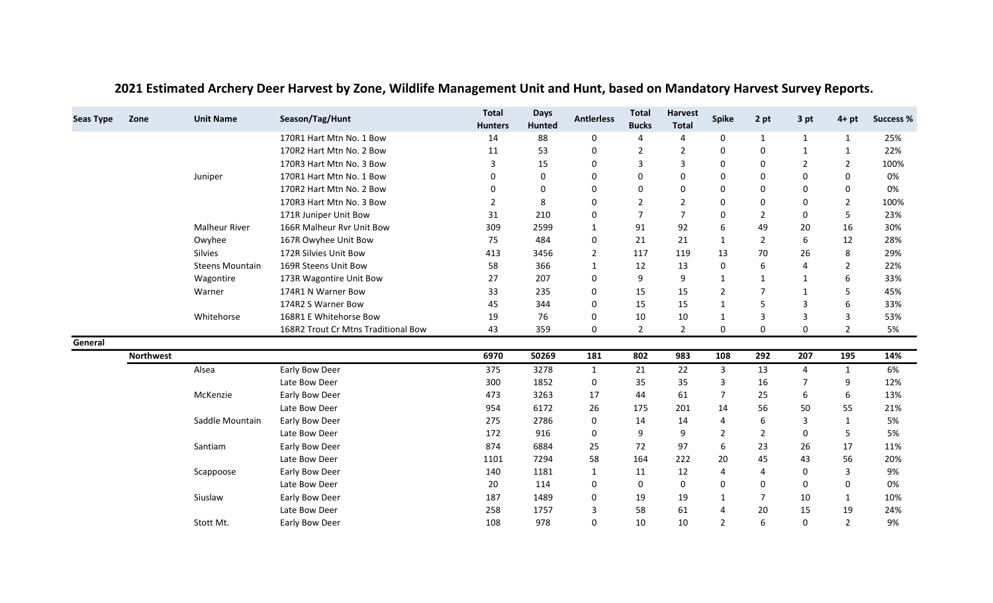| <b>Seas Type</b> | Zone             | <b>Unit Name</b>       | Season/Tag/Hunt                     | <b>Total</b><br><b>Hunters</b> | <b>Days</b><br><b>Hunted</b> | <b>Antierless</b> | <b>Total</b><br><b>Bucks</b> | <b>Harvest</b><br><b>Total</b> | <b>Spike</b>   | 2 pt           | 3 pt           | $4+pt$         | <b>Success %</b> |
|------------------|------------------|------------------------|-------------------------------------|--------------------------------|------------------------------|-------------------|------------------------------|--------------------------------|----------------|----------------|----------------|----------------|------------------|
|                  |                  |                        | 170R1 Hart Mtn No. 1 Bow            | 14                             | 88                           | 0                 | 4                            | 4                              | 0              | $\mathbf{1}$   | 1              | 1              | 25%              |
|                  |                  |                        | 170R2 Hart Mtn No. 2 Bow            | 11                             | 53                           | 0                 | $\overline{2}$               | $\overline{2}$                 | 0              | $\Omega$       | $\mathbf{1}$   | $\mathbf{1}$   | 22%              |
|                  |                  |                        | 170R3 Hart Mtn No. 3 Bow            | 3                              | 15                           | $\Omega$          | 3                            | 3                              | 0              | $\Omega$       | $\overline{2}$ | $\overline{2}$ | 100%             |
|                  |                  | Juniper                | 170R1 Hart Mtn No. 1 Bow            | n                              | $\Omega$                     | 0                 | 0                            | $\mathbf 0$                    | 0              | $\Omega$       | $\Omega$       | 0              | 0%               |
|                  |                  |                        | 170R2 Hart Mtn No. 2 Bow            | n                              | 0                            | 0                 | 0                            | 0                              | 0              | O              | $\Omega$       | 0              | 0%               |
|                  |                  |                        | 170R3 Hart Mtn No. 3 Bow            | $\overline{2}$                 | 8                            | 0                 | $\overline{2}$               | $\overline{2}$                 | 0              | 0              | 0              | $\overline{2}$ | 100%             |
|                  |                  |                        | 171R Juniper Unit Bow               | 31                             | 210                          | 0                 | $\overline{7}$               | $\overline{7}$                 | 0              | $\overline{2}$ | 0              | 5              | 23%              |
|                  |                  | <b>Malheur River</b>   | 166R Malheur Rvr Unit Bow           | 309                            | 2599                         | 1                 | 91                           | 92                             | 6              | 49             | 20             | 16             | 30%              |
|                  |                  | Owyhee                 | 167R Owyhee Unit Bow                | 75                             | 484                          | 0                 | 21                           | 21                             | $\mathbf{1}$   | $\overline{2}$ | 6              | 12             | 28%              |
|                  |                  | Silvies                | 172R Silvies Unit Bow               | 413                            | 3456                         | $\overline{2}$    | 117                          | 119                            | 13             | 70             | 26             | 8              | 29%              |
|                  |                  | <b>Steens Mountain</b> | 169R Steens Unit Bow                | 58                             | 366                          | 1                 | 12                           | 13                             | 0              | 6              | $\overline{a}$ | 2              | 22%              |
|                  |                  | Wagontire              | 173R Wagontire Unit Bow             | 27                             | 207                          | 0                 | 9                            | 9                              | $\mathbf{1}$   | 1              | $\mathbf{1}$   | 6              | 33%              |
|                  |                  | Warner                 | 174R1 N Warner Bow                  | 33                             | 235                          | 0                 | 15                           | 15                             | $\overline{2}$ | $\overline{7}$ | $\mathbf{1}$   | 5              | 45%              |
|                  |                  |                        | 174R2 S Warner Bow                  | 45                             | 344                          | 0                 | 15                           | 15                             | $\mathbf{1}$   |                | 3              | 6              | 33%              |
|                  |                  | Whitehorse             | 168R1 E Whitehorse Bow              | 19                             | 76                           | 0                 | 10                           | 10                             | 1              | 3              | 3              | 3              | 53%              |
|                  |                  |                        | 168R2 Trout Cr Mtns Traditional Bow | 43                             | 359                          | 0                 | $\overline{2}$               | $\overline{2}$                 | 0              | 0              | 0              | $\overline{2}$ | 5%               |
| General          |                  |                        |                                     |                                |                              |                   |                              |                                |                |                |                |                |                  |
|                  | <b>Northwest</b> |                        |                                     | 6970                           | 50269                        | 181               | 802                          | 983                            | 108            | 292            | 207            | 195            | 14%              |
|                  |                  | Alsea                  | Early Bow Deer                      | 375                            | 3278                         | $\mathbf{1}$      | 21                           | 22                             | 3              | 13             | 4              | $\mathbf{1}$   | 6%               |
|                  |                  |                        | Late Bow Deer                       | 300                            | 1852                         | 0                 | 35                           | 35                             | 3              | 16             | $\overline{7}$ | 9              | 12%              |
|                  |                  | McKenzie               | Early Bow Deer                      | 473                            | 3263                         | 17                | 44                           | 61                             | 7              | 25             | 6              | 6              | 13%              |
|                  |                  |                        | Late Bow Deer                       | 954                            | 6172                         | 26                | 175                          | 201                            | 14             | 56             | 50             | 55             | 21%              |
|                  |                  | Saddle Mountain        | Early Bow Deer                      | 275                            | 2786                         | 0                 | 14                           | 14                             | 4              | 6              | 3              | $\mathbf{1}$   | 5%               |
|                  |                  |                        | Late Bow Deer                       | 172                            | 916                          | 0                 | 9                            | 9                              | 2              | 2              | 0              | 5              | 5%               |
|                  |                  | Santiam                | Early Bow Deer                      | 874                            | 6884                         | 25                | 72                           | 97                             | 6              | 23             | 26             | 17             | 11%              |
|                  |                  |                        | Late Bow Deer                       | 1101                           | 7294                         | 58                | 164                          | 222                            | 20             | 45             | 43             | 56             | 20%              |
|                  |                  | Scappoose              | Early Bow Deer                      | 140                            | 1181                         | $\mathbf{1}$      | 11                           | 12                             | 4              | 4              | 0              | 3              | 9%               |
|                  |                  |                        | Late Bow Deer                       | 20                             | 114                          | 0                 | 0                            | $\mathbf 0$                    | 0              | $\Omega$       | 0              | 0              | 0%               |
|                  |                  | Siuslaw                | Early Bow Deer                      | 187                            | 1489                         | $\Omega$          | 19                           | 19                             | $\mathbf{1}$   | 7              | 10             | $\mathbf{1}$   | 10%              |
|                  |                  |                        | Late Bow Deer                       | 258                            | 1757                         | 3                 | 58                           | 61                             | 4              | 20             | 15             | 19             | 24%              |
|                  |                  | Stott Mt.              | Early Bow Deer                      | 108                            | 978                          | $\Omega$          | 10                           | 10                             | $\overline{2}$ | 6              | $\Omega$       | $\overline{2}$ | 9%               |